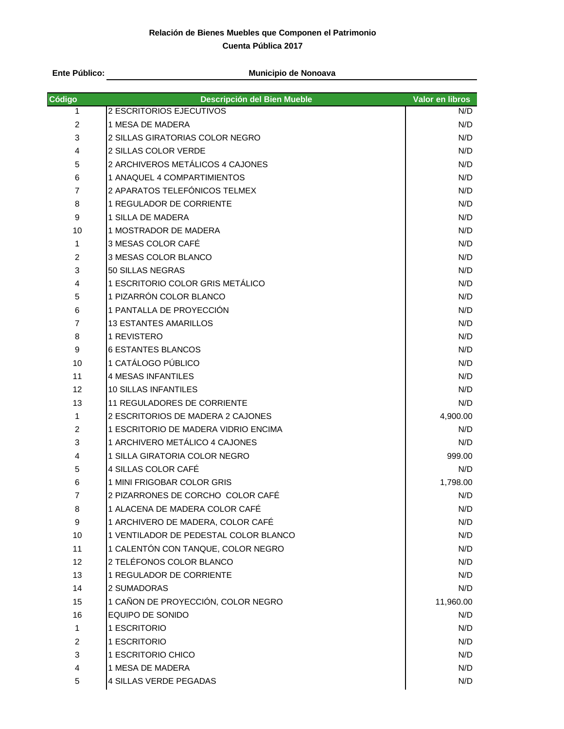# **Relación de Bienes Muebles que Componen el Patrimonio Cuenta Pública 2017**

**Ente Público:**

#### **Municipio de Nonoava**

| Código         | Descripción del Bien Mueble           | Valor en libros |
|----------------|---------------------------------------|-----------------|
| 1              | 2 ESCRITORIOS EJECUTIVOS              | N/D             |
| $\overline{2}$ | 1 MESA DE MADERA                      | N/D             |
| 3              | 2 SILLAS GIRATORIAS COLOR NEGRO       | N/D             |
| 4              | 2 SILLAS COLOR VERDE                  | N/D             |
| 5              | 2 ARCHIVEROS METÁLICOS 4 CAJONES      | N/D             |
| 6              | 1 ANAQUEL 4 COMPARTIMIENTOS           | N/D             |
| $\overline{7}$ | 2 APARATOS TELEFÓNICOS TELMEX         | N/D             |
| 8              | 1 REGULADOR DE CORRIENTE              | N/D             |
| 9              | 1 SILLA DE MADERA                     | N/D             |
| 10             | 1 MOSTRADOR DE MADERA                 | N/D             |
| 1              | 3 MESAS COLOR CAFE                    | N/D             |
| $\overline{c}$ | 3 MESAS COLOR BLANCO                  | N/D             |
| 3              | 50 SILLAS NEGRAS                      | N/D             |
| 4              | 1 ESCRITORIO COLOR GRIS METÁLICO      | N/D             |
| 5              | 1 PIZARRÓN COLOR BLANCO               | N/D             |
| 6              | 1 PANTALLA DE PROYECCIÓN              | N/D             |
| $\overline{7}$ | <b>13 ESTANTES AMARILLOS</b>          | N/D             |
| 8              | 1 REVISTERO                           | N/D             |
| 9              | <b>6 ESTANTES BLANCOS</b>             | N/D             |
| 10             | 1 CATÁLOGO PÚBLICO                    | N/D             |
| 11             | <b>4 MESAS INFANTILES</b>             | N/D             |
| 12             | <b>10 SILLAS INFANTILES</b>           | N/D             |
| 13             | 11 REGULADORES DE CORRIENTE           | N/D             |
| 1              | 2 ESCRITORIOS DE MADERA 2 CAJONES     | 4,900.00        |
| $\overline{c}$ | 1 ESCRITORIO DE MADERA VIDRIO ENCIMA  | N/D             |
| 3              | 1 ARCHIVERO METÁLICO 4 CAJONES        | N/D             |
| 4              | 1 SILLA GIRATORIA COLOR NEGRO         | 999.00          |
| 5              | 4 SILLAS COLOR CAFÉ                   | N/D             |
| 6              | 1 MINI FRIGOBAR COLOR GRIS            | 1,798.00        |
| $\overline{7}$ | 2 PIZARRONES DE CORCHO COLOR CAFÉ     | N/D             |
| 8              | 1 ALACENA DE MADERA COLOR CAFÉ        | N/D             |
| 9              | 1 ARCHIVERO DE MADERA, COLOR CAFÉ     | N/D             |
| 10             | 1 VENTILADOR DE PEDESTAL COLOR BLANCO | N/D             |
| 11             | 1 CALENTÓN CON TANQUE, COLOR NEGRO    | N/D             |
| 12             | 2 TELÉFONOS COLOR BLANCO              | N/D             |
| 13             | 1 REGULADOR DE CORRIENTE              | N/D             |
| 14             | 2 SUMADORAS                           | N/D             |
| 15             | 1 CAÑON DE PROYECCIÓN, COLOR NEGRO    | 11,960.00       |
| 16             | EQUIPO DE SONIDO                      | N/D             |
| 1              | 1 ESCRITORIO                          | N/D             |
| 2              | 1 ESCRITORIO                          | N/D             |
| 3              | 1 ESCRITORIO CHICO                    | N/D             |
| 4              | 1 MESA DE MADERA                      | N/D             |
| 5              | 4 SILLAS VERDE PEGADAS                | N/D             |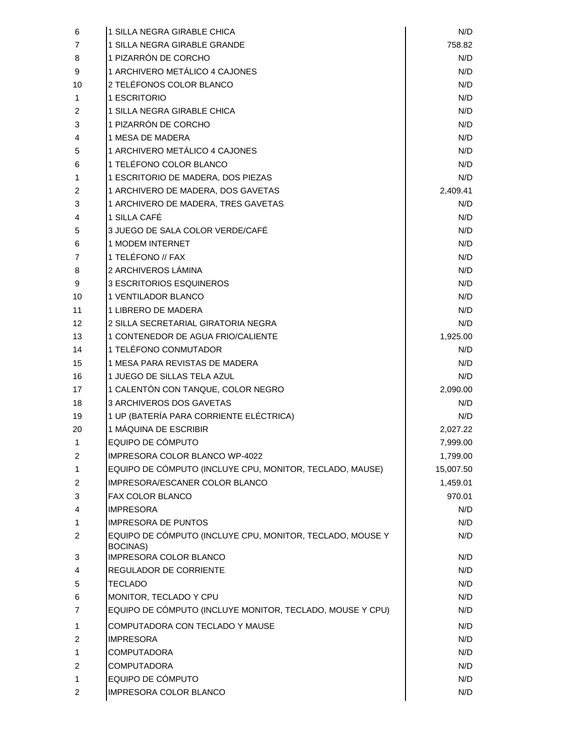| 6  | 1 SILLA NEGRA GIRABLE CHICA                                           | N/D       |
|----|-----------------------------------------------------------------------|-----------|
| 7  | 1 SILLA NEGRA GIRABLE GRANDE                                          | 758.82    |
| 8  | 1 PIZARRÓN DE CORCHO                                                  | N/D       |
| 9  | 1 ARCHIVERO METÁLICO 4 CAJONES                                        | N/D       |
| 10 | 2 TELÉFONOS COLOR BLANCO                                              | N/D       |
| 1. | 1 ESCRITORIO                                                          | N/D       |
| 2  | 1 SILLA NEGRA GIRABLE CHICA                                           | N/D       |
| 3  | 1 PIZARRÓN DE CORCHO                                                  | N/D       |
| 4  | 1 MESA DE MADERA                                                      | N/D       |
| 5  | 1 ARCHIVERO METÁLICO 4 CAJONES                                        | N/D       |
| 6  | 1 TELÉFONO COLOR BLANCO                                               | N/D       |
| 1  | 1 ESCRITORIO DE MADERA, DOS PIEZAS                                    | N/D       |
| 2  | 1 ARCHIVERO DE MADERA, DOS GAVETAS                                    | 2,409.41  |
| 3  | 1 ARCHIVERO DE MADERA, TRES GAVETAS                                   | N/D       |
| 4  | 1 SILLA CAFÉ                                                          | N/D       |
| 5  | 3 JUEGO DE SALA COLOR VERDE/CAFÉ                                      | N/D       |
| 6  | <b>1 MODEM INTERNET</b>                                               | N/D       |
| 7  | 1 TELÉFONO // FAX                                                     | N/D       |
| 8  | 2 ARCHIVEROS LÁMINA                                                   | N/D       |
| 9  | <b>3 ESCRITORIOS ESQUINEROS</b>                                       | N/D       |
| 10 | <b>1 VENTILADOR BLANCO</b>                                            | N/D       |
| 11 | 1 LIBRERO DE MADERA                                                   | N/D       |
| 12 | 2 SILLA SECRETARIAL GIRATORIA NEGRA                                   | N/D       |
| 13 | 1 CONTENEDOR DE AGUA FRIO/CALIENTE                                    | 1,925.00  |
| 14 | 1 TELÉFONO CONMUTADOR                                                 | N/D       |
| 15 | 1 MESA PARA REVISTAS DE MADERA                                        | N/D       |
| 16 | 1 JUEGO DE SILLAS TELA AZUL                                           | N/D       |
| 17 | 1 CALENTÓN CON TANQUE, COLOR NEGRO                                    | 2,090.00  |
| 18 | 3 ARCHIVEROS DOS GAVETAS                                              | N/D       |
| 19 | 1 UP (BATERÍA PARA CORRIENTE ELÉCTRICA)                               | N/D       |
| 20 | 1 MÁQUINA DE ESCRIBIR                                                 | 2,027.22  |
| 1  | EQUIPO DE CÓMPUTO                                                     | 7,999.00  |
| 2  | IMPRESORA COLOR BLANCO WP-4022                                        | 1,799.00  |
| 1  | EQUIPO DE CÓMPUTO (INCLUYE CPU, MONITOR, TECLADO, MAUSE)              | 15,007.50 |
| 2  | IMPRESORA/ESCANER COLOR BLANCO                                        | 1,459.01  |
| 3  | FAX COLOR BLANCO                                                      | 970.01    |
| 4  | <b>IMPRESORA</b>                                                      | N/D       |
| 1. | <b>IMPRESORA DE PUNTOS</b>                                            | N/D       |
| 2  | EQUIPO DE CÓMPUTO (INCLUYE CPU, MONITOR, TECLADO, MOUSE Y<br>BOCINAS) | N/D       |
| 3  | <b>IMPRESORA COLOR BLANCO</b>                                         | N/D       |
| 4  | REGULADOR DE CORRIENTE                                                | N/D       |
| 5  | <b>TECLADO</b>                                                        | N/D       |
| 6  | MONITOR, TECLADO Y CPU                                                | N/D       |
| 7  | EQUIPO DE CÓMPUTO (INCLUYE MONITOR, TECLADO, MOUSE Y CPU)             | N/D       |
| 1. | COMPUTADORA CON TECLADO Y MAUSE                                       | N/D       |
| 2  | <b>IMPRESORA</b>                                                      | N/D       |
| 1  | COMPUTADORA                                                           | N/D       |
| 2  | <b>COMPUTADORA</b>                                                    | N/D       |
| 1  | EQUIPO DE CÓMPUTO                                                     | N/D       |
| 2  | IMPRESORA COLOR BLANCO                                                | N/D       |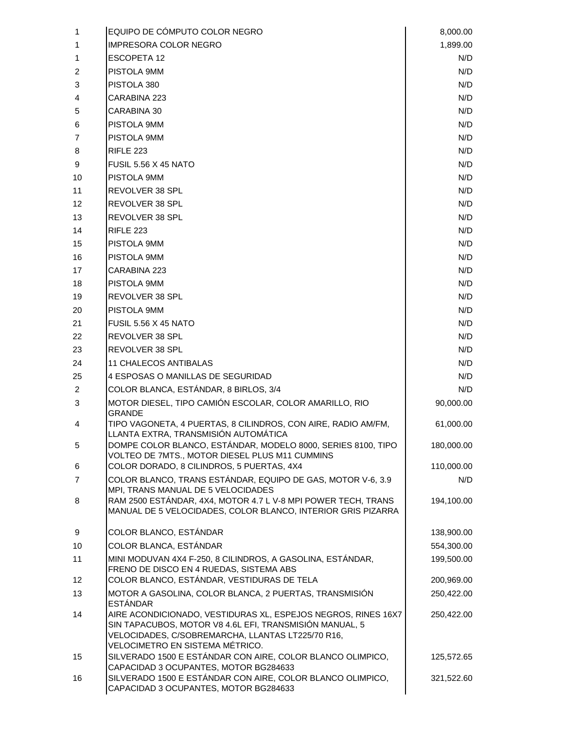| 1              | EQUIPO DE COMPUTO COLOR NEGRO                                                                                                                                                                                    | 8,000.00   |
|----------------|------------------------------------------------------------------------------------------------------------------------------------------------------------------------------------------------------------------|------------|
| 1              | <b>IMPRESORA COLOR NEGRO</b>                                                                                                                                                                                     | 1,899.00   |
| 1              | <b>ESCOPETA 12</b>                                                                                                                                                                                               | N/D        |
| 2              | PISTOLA 9MM                                                                                                                                                                                                      | N/D        |
| 3              | PISTOLA 380                                                                                                                                                                                                      | N/D        |
| 4              | CARABINA 223                                                                                                                                                                                                     | N/D        |
| 5              | CARABINA 30                                                                                                                                                                                                      | N/D        |
| 6              | PISTOLA 9MM                                                                                                                                                                                                      | N/D        |
| 7              | PISTOLA 9MM                                                                                                                                                                                                      | N/D        |
| 8              | RIFLE 223                                                                                                                                                                                                        | N/D        |
| 9              | <b>FUSIL 5.56 X 45 NATO</b>                                                                                                                                                                                      | N/D        |
| 10             | PISTOLA 9MM                                                                                                                                                                                                      | N/D        |
| 11             | REVOLVER 38 SPL                                                                                                                                                                                                  | N/D        |
| 12             | REVOLVER 38 SPL                                                                                                                                                                                                  | N/D        |
| 13             | REVOLVER 38 SPL                                                                                                                                                                                                  | N/D        |
| 14             | <b>RIFLE 223</b>                                                                                                                                                                                                 | N/D        |
| 15             | PISTOLA 9MM                                                                                                                                                                                                      | N/D        |
| 16             | PISTOLA 9MM                                                                                                                                                                                                      | N/D        |
| 17             | CARABINA 223                                                                                                                                                                                                     | N/D        |
| 18             | PISTOLA 9MM                                                                                                                                                                                                      | N/D        |
| 19             | REVOLVER 38 SPL                                                                                                                                                                                                  | N/D        |
| 20             | PISTOLA 9MM                                                                                                                                                                                                      | N/D        |
| 21             | <b>FUSIL 5.56 X 45 NATO</b>                                                                                                                                                                                      | N/D        |
| 22             | REVOLVER 38 SPL                                                                                                                                                                                                  | N/D        |
| 23             | REVOLVER 38 SPL                                                                                                                                                                                                  | N/D        |
| 24             | <b>11 CHALECOS ANTIBALAS</b>                                                                                                                                                                                     | N/D        |
| 25             | 4 ESPOSAS O MANILLAS DE SEGURIDAD                                                                                                                                                                                | N/D        |
| $\overline{2}$ | COLOR BLANCA, ESTÁNDAR, 8 BIRLOS, 3/4                                                                                                                                                                            | N/D        |
| 3              | MOTOR DIESEL, TIPO CAMIÓN ESCOLAR, COLOR AMARILLO, RIO                                                                                                                                                           | 90,000.00  |
| 4              | <b>GRANDE</b><br>TIPO VAGONETA, 4 PUERTAS, 8 CILINDROS, CON AIRE, RADIO AM/FM,                                                                                                                                   | 61,000.00  |
|                | LLANTA EXTRA, TRANSMISIÓN AUTOMÁTICA                                                                                                                                                                             |            |
| 5              | DOMPE COLOR BLANCO, ESTÁNDAR, MODELO 8000, SERIES 8100, TIPO                                                                                                                                                     | 180,000.00 |
| 6              | VOLTEO DE 7MTS., MOTOR DIESEL PLUS M11 CUMMINS<br>COLOR DORADO, 8 CILINDROS, 5 PUERTAS, 4X4                                                                                                                      | 110,000.00 |
| 7              | COLOR BLANCO, TRANS ESTÁNDAR, EQUIPO DE GAS, MOTOR V-6, 3.9                                                                                                                                                      | N/D        |
|                | MPI, TRANS MANUAL DE 5 VELOCIDADES                                                                                                                                                                               |            |
| 8              | RAM 2500 ESTÁNDAR, 4X4, MOTOR 4.7 L V-8 MPI POWER TECH, TRANS<br>MANUAL DE 5 VELOCIDADES, COLOR BLANCO, INTERIOR GRIS PIZARRA                                                                                    | 194,100.00 |
| 9              | COLOR BLANCO, ESTÁNDAR                                                                                                                                                                                           | 138,900.00 |
| 10             | COLOR BLANCA, ESTÁNDAR                                                                                                                                                                                           | 554,300.00 |
| 11             | MINI MODUVAN 4X4 F-250, 8 CILINDROS, A GASOLINA, ESTÁNDAR,<br>FRENO DE DISCO EN 4 RUEDAS, SISTEMA ABS                                                                                                            | 199,500.00 |
| 12             | COLOR BLANCO, ESTÁNDAR, VESTIDURAS DE TELA                                                                                                                                                                       | 200,969.00 |
| 13             | MOTOR A GASOLINA, COLOR BLANCA, 2 PUERTAS, TRANSMISIÓN<br><b>ESTÁNDAR</b>                                                                                                                                        | 250,422.00 |
| 14             | AIRE ACONDICIONADO, VESTIDURAS XL, ESPEJOS NEGROS, RINES 16X7<br>SIN TAPACUBOS, MOTOR V8 4.6L EFI, TRANSMISIÓN MANUAL, 5<br>VELOCIDADES, C/SOBREMARCHA, LLANTAS LT225/70 R16,<br>VELOCIMETRO EN SISTEMA MÉTRICO. | 250,422.00 |
| 15             | SILVERADO 1500 E ESTÁNDAR CON AIRE, COLOR BLANCO OLIMPICO,<br>CAPACIDAD 3 OCUPANTES, MOTOR BG284633                                                                                                              | 125,572.65 |
| 16             | SILVERADO 1500 E ESTÁNDAR CON AIRE, COLOR BLANCO OLIMPICO,<br>CAPACIDAD 3 OCUPANTES, MOTOR BG284633                                                                                                              | 321,522.60 |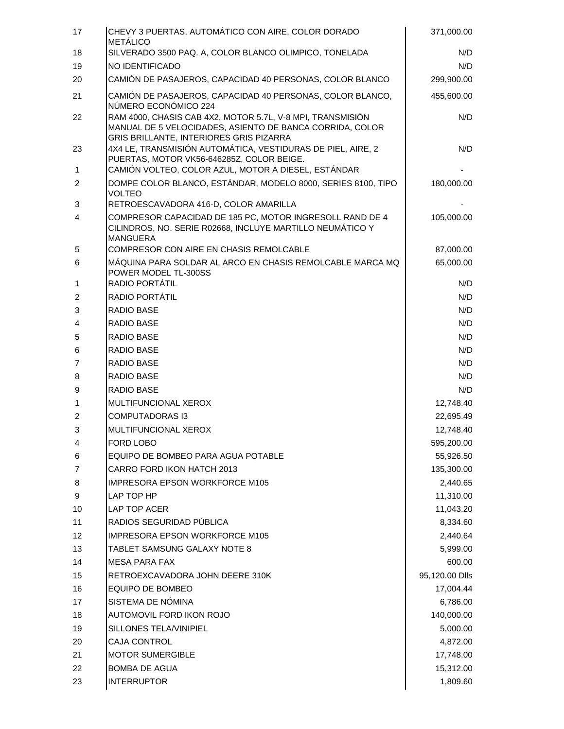| SILVERADO 3500 PAQ. A, COLOR BLANCO OLIMPICO, TONELADA<br>18<br>N/D<br>19<br>NO IDENTIFICADO<br>N/D<br>CAMIÓN DE PASAJEROS, CAPACIDAD 40 PERSONAS, COLOR BLANCO<br>299,900.00<br>20<br>21<br>CAMIÓN DE PASAJEROS, CAPACIDAD 40 PERSONAS, COLOR BLANCO,<br>455,600.00<br>NÚMERO ECONÓMICO 224<br>RAM 4000, CHASIS CAB 4X2, MOTOR 5.7L, V-8 MPI, TRANSMISIÓN<br>22<br>N/D<br>MANUAL DE 5 VELOCIDADES, ASIENTO DE BANCA CORRIDA, COLOR<br>GRIS BRILLANTE, INTERIORES GRIS PIZARRA<br>4X4 LE, TRANSMISIÓN AUTOMÁTICA, VESTIDURAS DE PIEL, AIRE, 2<br>23<br>N/D<br>PUERTAS, MOTOR VK56-646285Z, COLOR BEIGE.<br>CAMIÓN VOLTEO, COLOR AZUL, MOTOR A DIESEL, ESTÁNDAR<br>$\mathbf{1}$<br>DOMPE COLOR BLANCO, ESTÁNDAR, MODELO 8000, SERIES 8100, TIPO<br>2<br>180,000.00<br><b>VOLTEO</b><br>3<br>RETROESCAVADORA 416-D, COLOR AMARILLA<br>COMPRESOR CAPACIDAD DE 185 PC, MOTOR INGRESOLL RAND DE 4<br>$\overline{4}$<br>105,000.00<br>CILINDROS, NO. SERIE R02668, INCLUYE MARTILLO NEUMÁTICO Y<br><b>MANGUERA</b><br>5<br>COMPRESOR CON AIRE EN CHASIS REMOLCABLE<br>87,000.00<br>65,000.00<br>6<br>MÁQUINA PARA SOLDAR AL ARCO EN CHASIS REMOLCABLE MARCA MQ<br>POWER MODEL TL-300SS<br>RADIO PORTÁTIL<br>N/D<br>1<br>RADIO PORTÁTIL<br>2<br>N/D<br>3<br>RADIO BASE<br>N/D<br>$\overline{4}$<br>RADIO BASE<br>N/D<br>5<br>RADIO BASE<br>N/D<br>RADIO BASE<br>N/D<br>6<br>$\overline{7}$<br>RADIO BASE<br>N/D<br>8<br><b>RADIO BASE</b><br>N/D<br><b>RADIO BASE</b><br>N/D<br>9<br>MULTIFUNCIONAL XEROX<br>12,748.40<br>1<br>2<br><b>COMPUTADORAS I3</b><br>22,695.49<br>3<br>MULTIFUNCIONAL XEROX<br>12,748.40<br>FORD LOBO<br>595,200.00<br>4<br>EQUIPO DE BOMBEO PARA AGUA POTABLE<br>55,926.50<br>6<br>CARRO FORD IKON HATCH 2013<br>7<br>135,300.00<br><b>IMPRESORA EPSON WORKFORCE M105</b><br>8<br>2,440.65<br>9<br>LAP TOP HP<br>11,310.00<br>LAP TOP ACER<br>11,043.20<br>10<br>RADIOS SEGURIDAD PÚBLICA<br>11<br>8,334.60<br>12<br><b>IMPRESORA EPSON WORKFORCE M105</b><br>2,440.64<br>13<br>TABLET SAMSUNG GALAXY NOTE 8<br>5,999.00<br>14<br><b>MESA PARA FAX</b><br>600.00<br>RETROEXCAVADORA JOHN DEERE 310K<br>95,120.00 Dlls<br>15<br>EQUIPO DE BOMBEO<br>16<br>17,004.44<br>SISTEMA DE NÓMINA<br>17<br>6,786.00<br>AUTOMOVIL FORD IKON ROJO<br>140,000.00<br>18<br>SILLONES TELA/VINIPIEL<br>19<br>5,000.00<br><b>CAJA CONTROL</b><br>20<br>4,872.00<br><b>MOTOR SUMERGIBLE</b><br>21<br>17,748.00<br>22<br><b>BOMBA DE AGUA</b><br>15,312.00<br><b>INTERRUPTOR</b><br>1,809.60<br>23 | 17 | CHEVY 3 PUERTAS, AUTOMÁTICO CON AIRE, COLOR DORADO<br><b>METÁLICO</b> | 371,000.00 |
|----------------------------------------------------------------------------------------------------------------------------------------------------------------------------------------------------------------------------------------------------------------------------------------------------------------------------------------------------------------------------------------------------------------------------------------------------------------------------------------------------------------------------------------------------------------------------------------------------------------------------------------------------------------------------------------------------------------------------------------------------------------------------------------------------------------------------------------------------------------------------------------------------------------------------------------------------------------------------------------------------------------------------------------------------------------------------------------------------------------------------------------------------------------------------------------------------------------------------------------------------------------------------------------------------------------------------------------------------------------------------------------------------------------------------------------------------------------------------------------------------------------------------------------------------------------------------------------------------------------------------------------------------------------------------------------------------------------------------------------------------------------------------------------------------------------------------------------------------------------------------------------------------------------------------------------------------------------------------------------------------------------------------------------------------------------------------------------------------------------------------------------------------------------------------------------------------------------------------------------------------------------------------------------------------------------------------------------------------------------------------------------------------------------------------------------------------------------------------------------------------|----|-----------------------------------------------------------------------|------------|
|                                                                                                                                                                                                                                                                                                                                                                                                                                                                                                                                                                                                                                                                                                                                                                                                                                                                                                                                                                                                                                                                                                                                                                                                                                                                                                                                                                                                                                                                                                                                                                                                                                                                                                                                                                                                                                                                                                                                                                                                                                                                                                                                                                                                                                                                                                                                                                                                                                                                                                    |    |                                                                       |            |
|                                                                                                                                                                                                                                                                                                                                                                                                                                                                                                                                                                                                                                                                                                                                                                                                                                                                                                                                                                                                                                                                                                                                                                                                                                                                                                                                                                                                                                                                                                                                                                                                                                                                                                                                                                                                                                                                                                                                                                                                                                                                                                                                                                                                                                                                                                                                                                                                                                                                                                    |    |                                                                       |            |
|                                                                                                                                                                                                                                                                                                                                                                                                                                                                                                                                                                                                                                                                                                                                                                                                                                                                                                                                                                                                                                                                                                                                                                                                                                                                                                                                                                                                                                                                                                                                                                                                                                                                                                                                                                                                                                                                                                                                                                                                                                                                                                                                                                                                                                                                                                                                                                                                                                                                                                    |    |                                                                       |            |
|                                                                                                                                                                                                                                                                                                                                                                                                                                                                                                                                                                                                                                                                                                                                                                                                                                                                                                                                                                                                                                                                                                                                                                                                                                                                                                                                                                                                                                                                                                                                                                                                                                                                                                                                                                                                                                                                                                                                                                                                                                                                                                                                                                                                                                                                                                                                                                                                                                                                                                    |    |                                                                       |            |
|                                                                                                                                                                                                                                                                                                                                                                                                                                                                                                                                                                                                                                                                                                                                                                                                                                                                                                                                                                                                                                                                                                                                                                                                                                                                                                                                                                                                                                                                                                                                                                                                                                                                                                                                                                                                                                                                                                                                                                                                                                                                                                                                                                                                                                                                                                                                                                                                                                                                                                    |    |                                                                       |            |
|                                                                                                                                                                                                                                                                                                                                                                                                                                                                                                                                                                                                                                                                                                                                                                                                                                                                                                                                                                                                                                                                                                                                                                                                                                                                                                                                                                                                                                                                                                                                                                                                                                                                                                                                                                                                                                                                                                                                                                                                                                                                                                                                                                                                                                                                                                                                                                                                                                                                                                    |    |                                                                       |            |
|                                                                                                                                                                                                                                                                                                                                                                                                                                                                                                                                                                                                                                                                                                                                                                                                                                                                                                                                                                                                                                                                                                                                                                                                                                                                                                                                                                                                                                                                                                                                                                                                                                                                                                                                                                                                                                                                                                                                                                                                                                                                                                                                                                                                                                                                                                                                                                                                                                                                                                    |    |                                                                       |            |
|                                                                                                                                                                                                                                                                                                                                                                                                                                                                                                                                                                                                                                                                                                                                                                                                                                                                                                                                                                                                                                                                                                                                                                                                                                                                                                                                                                                                                                                                                                                                                                                                                                                                                                                                                                                                                                                                                                                                                                                                                                                                                                                                                                                                                                                                                                                                                                                                                                                                                                    |    |                                                                       |            |
|                                                                                                                                                                                                                                                                                                                                                                                                                                                                                                                                                                                                                                                                                                                                                                                                                                                                                                                                                                                                                                                                                                                                                                                                                                                                                                                                                                                                                                                                                                                                                                                                                                                                                                                                                                                                                                                                                                                                                                                                                                                                                                                                                                                                                                                                                                                                                                                                                                                                                                    |    |                                                                       |            |
|                                                                                                                                                                                                                                                                                                                                                                                                                                                                                                                                                                                                                                                                                                                                                                                                                                                                                                                                                                                                                                                                                                                                                                                                                                                                                                                                                                                                                                                                                                                                                                                                                                                                                                                                                                                                                                                                                                                                                                                                                                                                                                                                                                                                                                                                                                                                                                                                                                                                                                    |    |                                                                       |            |
|                                                                                                                                                                                                                                                                                                                                                                                                                                                                                                                                                                                                                                                                                                                                                                                                                                                                                                                                                                                                                                                                                                                                                                                                                                                                                                                                                                                                                                                                                                                                                                                                                                                                                                                                                                                                                                                                                                                                                                                                                                                                                                                                                                                                                                                                                                                                                                                                                                                                                                    |    |                                                                       |            |
|                                                                                                                                                                                                                                                                                                                                                                                                                                                                                                                                                                                                                                                                                                                                                                                                                                                                                                                                                                                                                                                                                                                                                                                                                                                                                                                                                                                                                                                                                                                                                                                                                                                                                                                                                                                                                                                                                                                                                                                                                                                                                                                                                                                                                                                                                                                                                                                                                                                                                                    |    |                                                                       |            |
|                                                                                                                                                                                                                                                                                                                                                                                                                                                                                                                                                                                                                                                                                                                                                                                                                                                                                                                                                                                                                                                                                                                                                                                                                                                                                                                                                                                                                                                                                                                                                                                                                                                                                                                                                                                                                                                                                                                                                                                                                                                                                                                                                                                                                                                                                                                                                                                                                                                                                                    |    |                                                                       |            |
|                                                                                                                                                                                                                                                                                                                                                                                                                                                                                                                                                                                                                                                                                                                                                                                                                                                                                                                                                                                                                                                                                                                                                                                                                                                                                                                                                                                                                                                                                                                                                                                                                                                                                                                                                                                                                                                                                                                                                                                                                                                                                                                                                                                                                                                                                                                                                                                                                                                                                                    |    |                                                                       |            |
|                                                                                                                                                                                                                                                                                                                                                                                                                                                                                                                                                                                                                                                                                                                                                                                                                                                                                                                                                                                                                                                                                                                                                                                                                                                                                                                                                                                                                                                                                                                                                                                                                                                                                                                                                                                                                                                                                                                                                                                                                                                                                                                                                                                                                                                                                                                                                                                                                                                                                                    |    |                                                                       |            |
|                                                                                                                                                                                                                                                                                                                                                                                                                                                                                                                                                                                                                                                                                                                                                                                                                                                                                                                                                                                                                                                                                                                                                                                                                                                                                                                                                                                                                                                                                                                                                                                                                                                                                                                                                                                                                                                                                                                                                                                                                                                                                                                                                                                                                                                                                                                                                                                                                                                                                                    |    |                                                                       |            |
|                                                                                                                                                                                                                                                                                                                                                                                                                                                                                                                                                                                                                                                                                                                                                                                                                                                                                                                                                                                                                                                                                                                                                                                                                                                                                                                                                                                                                                                                                                                                                                                                                                                                                                                                                                                                                                                                                                                                                                                                                                                                                                                                                                                                                                                                                                                                                                                                                                                                                                    |    |                                                                       |            |
|                                                                                                                                                                                                                                                                                                                                                                                                                                                                                                                                                                                                                                                                                                                                                                                                                                                                                                                                                                                                                                                                                                                                                                                                                                                                                                                                                                                                                                                                                                                                                                                                                                                                                                                                                                                                                                                                                                                                                                                                                                                                                                                                                                                                                                                                                                                                                                                                                                                                                                    |    |                                                                       |            |
|                                                                                                                                                                                                                                                                                                                                                                                                                                                                                                                                                                                                                                                                                                                                                                                                                                                                                                                                                                                                                                                                                                                                                                                                                                                                                                                                                                                                                                                                                                                                                                                                                                                                                                                                                                                                                                                                                                                                                                                                                                                                                                                                                                                                                                                                                                                                                                                                                                                                                                    |    |                                                                       |            |
|                                                                                                                                                                                                                                                                                                                                                                                                                                                                                                                                                                                                                                                                                                                                                                                                                                                                                                                                                                                                                                                                                                                                                                                                                                                                                                                                                                                                                                                                                                                                                                                                                                                                                                                                                                                                                                                                                                                                                                                                                                                                                                                                                                                                                                                                                                                                                                                                                                                                                                    |    |                                                                       |            |
|                                                                                                                                                                                                                                                                                                                                                                                                                                                                                                                                                                                                                                                                                                                                                                                                                                                                                                                                                                                                                                                                                                                                                                                                                                                                                                                                                                                                                                                                                                                                                                                                                                                                                                                                                                                                                                                                                                                                                                                                                                                                                                                                                                                                                                                                                                                                                                                                                                                                                                    |    |                                                                       |            |
|                                                                                                                                                                                                                                                                                                                                                                                                                                                                                                                                                                                                                                                                                                                                                                                                                                                                                                                                                                                                                                                                                                                                                                                                                                                                                                                                                                                                                                                                                                                                                                                                                                                                                                                                                                                                                                                                                                                                                                                                                                                                                                                                                                                                                                                                                                                                                                                                                                                                                                    |    |                                                                       |            |
|                                                                                                                                                                                                                                                                                                                                                                                                                                                                                                                                                                                                                                                                                                                                                                                                                                                                                                                                                                                                                                                                                                                                                                                                                                                                                                                                                                                                                                                                                                                                                                                                                                                                                                                                                                                                                                                                                                                                                                                                                                                                                                                                                                                                                                                                                                                                                                                                                                                                                                    |    |                                                                       |            |
|                                                                                                                                                                                                                                                                                                                                                                                                                                                                                                                                                                                                                                                                                                                                                                                                                                                                                                                                                                                                                                                                                                                                                                                                                                                                                                                                                                                                                                                                                                                                                                                                                                                                                                                                                                                                                                                                                                                                                                                                                                                                                                                                                                                                                                                                                                                                                                                                                                                                                                    |    |                                                                       |            |
|                                                                                                                                                                                                                                                                                                                                                                                                                                                                                                                                                                                                                                                                                                                                                                                                                                                                                                                                                                                                                                                                                                                                                                                                                                                                                                                                                                                                                                                                                                                                                                                                                                                                                                                                                                                                                                                                                                                                                                                                                                                                                                                                                                                                                                                                                                                                                                                                                                                                                                    |    |                                                                       |            |
|                                                                                                                                                                                                                                                                                                                                                                                                                                                                                                                                                                                                                                                                                                                                                                                                                                                                                                                                                                                                                                                                                                                                                                                                                                                                                                                                                                                                                                                                                                                                                                                                                                                                                                                                                                                                                                                                                                                                                                                                                                                                                                                                                                                                                                                                                                                                                                                                                                                                                                    |    |                                                                       |            |
|                                                                                                                                                                                                                                                                                                                                                                                                                                                                                                                                                                                                                                                                                                                                                                                                                                                                                                                                                                                                                                                                                                                                                                                                                                                                                                                                                                                                                                                                                                                                                                                                                                                                                                                                                                                                                                                                                                                                                                                                                                                                                                                                                                                                                                                                                                                                                                                                                                                                                                    |    |                                                                       |            |
|                                                                                                                                                                                                                                                                                                                                                                                                                                                                                                                                                                                                                                                                                                                                                                                                                                                                                                                                                                                                                                                                                                                                                                                                                                                                                                                                                                                                                                                                                                                                                                                                                                                                                                                                                                                                                                                                                                                                                                                                                                                                                                                                                                                                                                                                                                                                                                                                                                                                                                    |    |                                                                       |            |
|                                                                                                                                                                                                                                                                                                                                                                                                                                                                                                                                                                                                                                                                                                                                                                                                                                                                                                                                                                                                                                                                                                                                                                                                                                                                                                                                                                                                                                                                                                                                                                                                                                                                                                                                                                                                                                                                                                                                                                                                                                                                                                                                                                                                                                                                                                                                                                                                                                                                                                    |    |                                                                       |            |
|                                                                                                                                                                                                                                                                                                                                                                                                                                                                                                                                                                                                                                                                                                                                                                                                                                                                                                                                                                                                                                                                                                                                                                                                                                                                                                                                                                                                                                                                                                                                                                                                                                                                                                                                                                                                                                                                                                                                                                                                                                                                                                                                                                                                                                                                                                                                                                                                                                                                                                    |    |                                                                       |            |
|                                                                                                                                                                                                                                                                                                                                                                                                                                                                                                                                                                                                                                                                                                                                                                                                                                                                                                                                                                                                                                                                                                                                                                                                                                                                                                                                                                                                                                                                                                                                                                                                                                                                                                                                                                                                                                                                                                                                                                                                                                                                                                                                                                                                                                                                                                                                                                                                                                                                                                    |    |                                                                       |            |
|                                                                                                                                                                                                                                                                                                                                                                                                                                                                                                                                                                                                                                                                                                                                                                                                                                                                                                                                                                                                                                                                                                                                                                                                                                                                                                                                                                                                                                                                                                                                                                                                                                                                                                                                                                                                                                                                                                                                                                                                                                                                                                                                                                                                                                                                                                                                                                                                                                                                                                    |    |                                                                       |            |
|                                                                                                                                                                                                                                                                                                                                                                                                                                                                                                                                                                                                                                                                                                                                                                                                                                                                                                                                                                                                                                                                                                                                                                                                                                                                                                                                                                                                                                                                                                                                                                                                                                                                                                                                                                                                                                                                                                                                                                                                                                                                                                                                                                                                                                                                                                                                                                                                                                                                                                    |    |                                                                       |            |
|                                                                                                                                                                                                                                                                                                                                                                                                                                                                                                                                                                                                                                                                                                                                                                                                                                                                                                                                                                                                                                                                                                                                                                                                                                                                                                                                                                                                                                                                                                                                                                                                                                                                                                                                                                                                                                                                                                                                                                                                                                                                                                                                                                                                                                                                                                                                                                                                                                                                                                    |    |                                                                       |            |
|                                                                                                                                                                                                                                                                                                                                                                                                                                                                                                                                                                                                                                                                                                                                                                                                                                                                                                                                                                                                                                                                                                                                                                                                                                                                                                                                                                                                                                                                                                                                                                                                                                                                                                                                                                                                                                                                                                                                                                                                                                                                                                                                                                                                                                                                                                                                                                                                                                                                                                    |    |                                                                       |            |
|                                                                                                                                                                                                                                                                                                                                                                                                                                                                                                                                                                                                                                                                                                                                                                                                                                                                                                                                                                                                                                                                                                                                                                                                                                                                                                                                                                                                                                                                                                                                                                                                                                                                                                                                                                                                                                                                                                                                                                                                                                                                                                                                                                                                                                                                                                                                                                                                                                                                                                    |    |                                                                       |            |
|                                                                                                                                                                                                                                                                                                                                                                                                                                                                                                                                                                                                                                                                                                                                                                                                                                                                                                                                                                                                                                                                                                                                                                                                                                                                                                                                                                                                                                                                                                                                                                                                                                                                                                                                                                                                                                                                                                                                                                                                                                                                                                                                                                                                                                                                                                                                                                                                                                                                                                    |    |                                                                       |            |
|                                                                                                                                                                                                                                                                                                                                                                                                                                                                                                                                                                                                                                                                                                                                                                                                                                                                                                                                                                                                                                                                                                                                                                                                                                                                                                                                                                                                                                                                                                                                                                                                                                                                                                                                                                                                                                                                                                                                                                                                                                                                                                                                                                                                                                                                                                                                                                                                                                                                                                    |    |                                                                       |            |
|                                                                                                                                                                                                                                                                                                                                                                                                                                                                                                                                                                                                                                                                                                                                                                                                                                                                                                                                                                                                                                                                                                                                                                                                                                                                                                                                                                                                                                                                                                                                                                                                                                                                                                                                                                                                                                                                                                                                                                                                                                                                                                                                                                                                                                                                                                                                                                                                                                                                                                    |    |                                                                       |            |
|                                                                                                                                                                                                                                                                                                                                                                                                                                                                                                                                                                                                                                                                                                                                                                                                                                                                                                                                                                                                                                                                                                                                                                                                                                                                                                                                                                                                                                                                                                                                                                                                                                                                                                                                                                                                                                                                                                                                                                                                                                                                                                                                                                                                                                                                                                                                                                                                                                                                                                    |    |                                                                       |            |
|                                                                                                                                                                                                                                                                                                                                                                                                                                                                                                                                                                                                                                                                                                                                                                                                                                                                                                                                                                                                                                                                                                                                                                                                                                                                                                                                                                                                                                                                                                                                                                                                                                                                                                                                                                                                                                                                                                                                                                                                                                                                                                                                                                                                                                                                                                                                                                                                                                                                                                    |    |                                                                       |            |
|                                                                                                                                                                                                                                                                                                                                                                                                                                                                                                                                                                                                                                                                                                                                                                                                                                                                                                                                                                                                                                                                                                                                                                                                                                                                                                                                                                                                                                                                                                                                                                                                                                                                                                                                                                                                                                                                                                                                                                                                                                                                                                                                                                                                                                                                                                                                                                                                                                                                                                    |    |                                                                       |            |
|                                                                                                                                                                                                                                                                                                                                                                                                                                                                                                                                                                                                                                                                                                                                                                                                                                                                                                                                                                                                                                                                                                                                                                                                                                                                                                                                                                                                                                                                                                                                                                                                                                                                                                                                                                                                                                                                                                                                                                                                                                                                                                                                                                                                                                                                                                                                                                                                                                                                                                    |    |                                                                       |            |